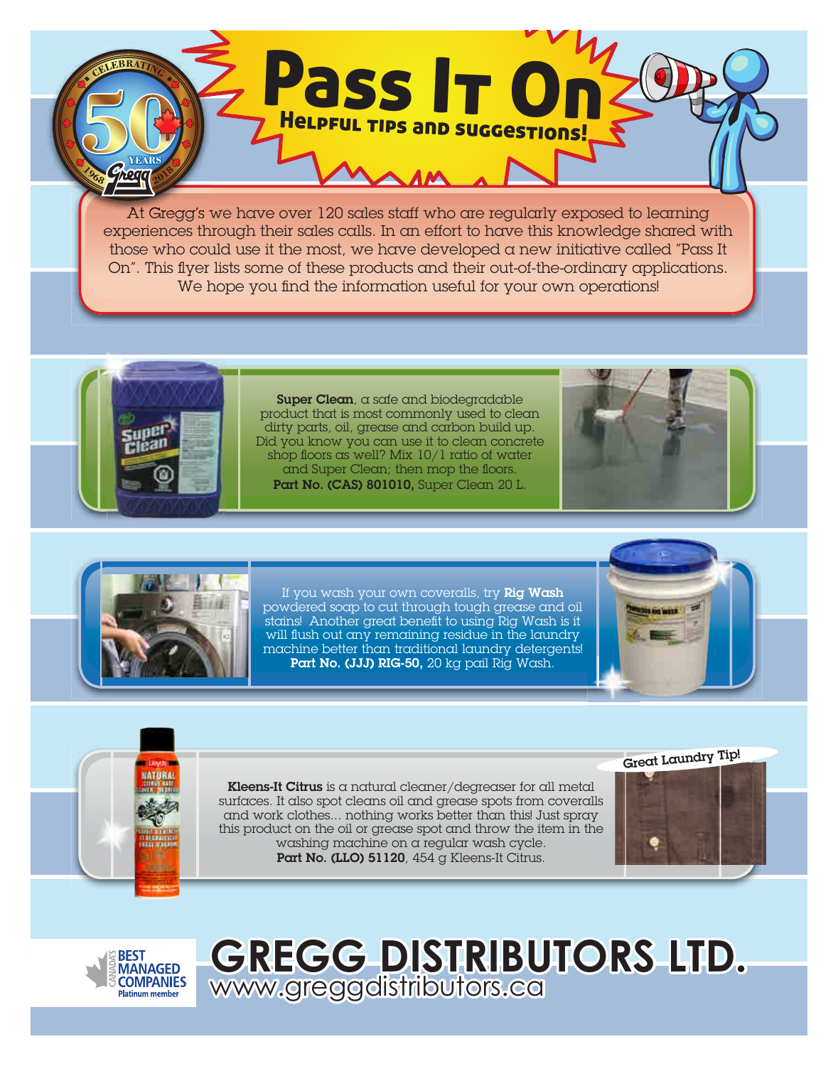At Gregg's we have over 120 sales staff who are regularly exposed to learning experiences through their sales calls. In an effort to have this knowledge shared with those who could use it the most, we have developed a new initiative called "Pass It On". This flyer lists some of these products and their out-of-the-ordinary applications. We hope you find the information useful for your own operations!

Pass It On

Helpful tips and suggestions!



hoa

Super Clean, a safe and biodegradable product that is most commonly used to clean dirty parts, oil, grease and carbon build up. Did you know you can use it to clean concrete shop floors as well? Mix 10/1 ratio of water and Super Clean; then mop the floors. Part No. (CAS) 801010, Super Clean 20 L.





If you wash your own coveralls, try Rig Wash powdered soap to cut through tough grease and oil stains! Another great benefit to using Rig Wash is it will flush out any remaining residue in the laundry machine better than traditional laundry detergents! Part No. (JJJ) RIG-50, 20 kg pail Rig Wash.





Kleens-It Citrus is a natural cleaner/degreaser for all metal surfaces. It also spot cleans oil and grease spots from coveralls and work clothes... nothing works better than this! Just spray this product on the oil or grease spot and throw the item in the washing machine on a regular wash cycle. Part No. (LLO) 51120, 454 g Kleens-It Citrus.





## **GREGG DISTRIBUTORS LTD.**  www.greggdistributors.ca